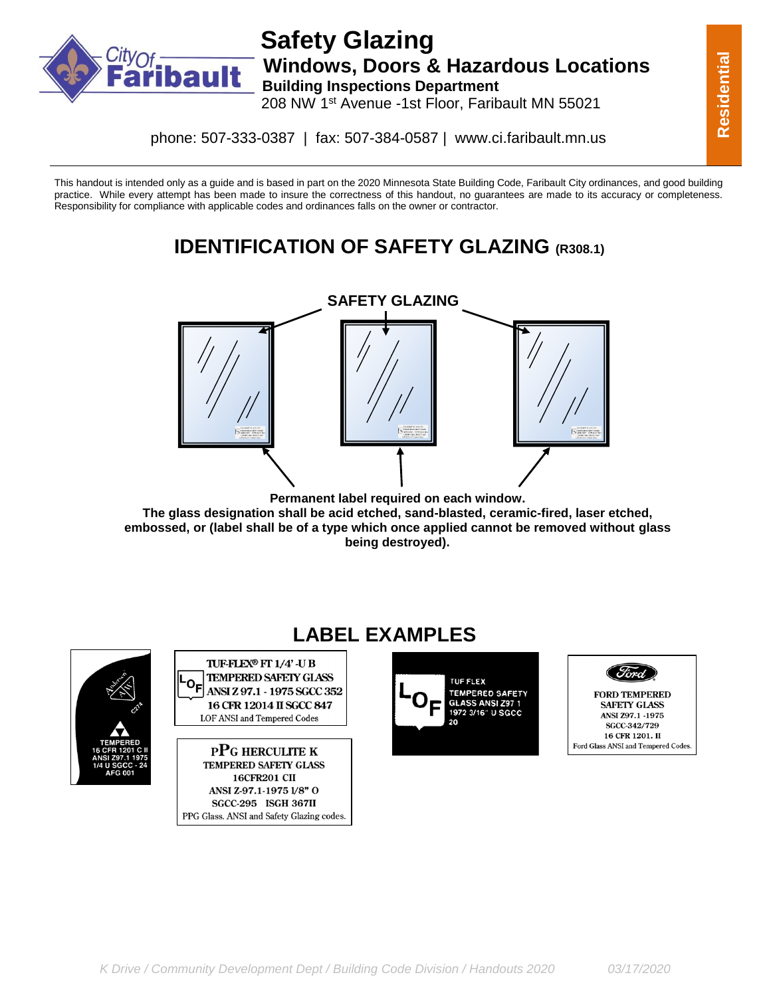

#### **Safety Glazing bault** Windows, Doors & Hazardous Locations **Building Inspections Department** 208 NW 1st Avenue -1st Floor, Faribault MN 55021

phone: 507-333-0387 | fax: 507-384-0587 | www.ci.faribault.mn.us

This handout is intended only as a guide and is based in part on the 2020 Minnesota State Building Code, Faribault City ordinances, and good building practice. While every attempt has been made to insure the correctness of this handout, no guarantees are made to its accuracy or completeness. Responsibility for compliance with applicable codes and ordinances falls on the owner or contractor.

## **IDENTIFICATION OF SAFETY GLAZING (R308.1)**



**Permanent label required on each window. The glass designation shall be acid etched, sand-blasted, ceramic-fired, laser etched, embossed, or (label shall be of a type which once applied cannot be removed without glass being destroyed).**



# **LABEL EXAMPLES**

TUF-FLEX® FT 1/4' -U B **TEMPERED SAFETY GLASS** o<sub>F</sub> ANSI Z 97.1 - 1975 SGCC 352 16 CFR 12014 II SGCC 847 **LOF ANSI and Tempered Codes** 

**PPG HERCULITE K TEMPERED SAFETY GLASS 16CFR201 CII** ANSI Z-97.1-1975 1/8" O **SGCC-295 ISGH 367II** PPG Glass. ANSI and Safety Glazing codes.



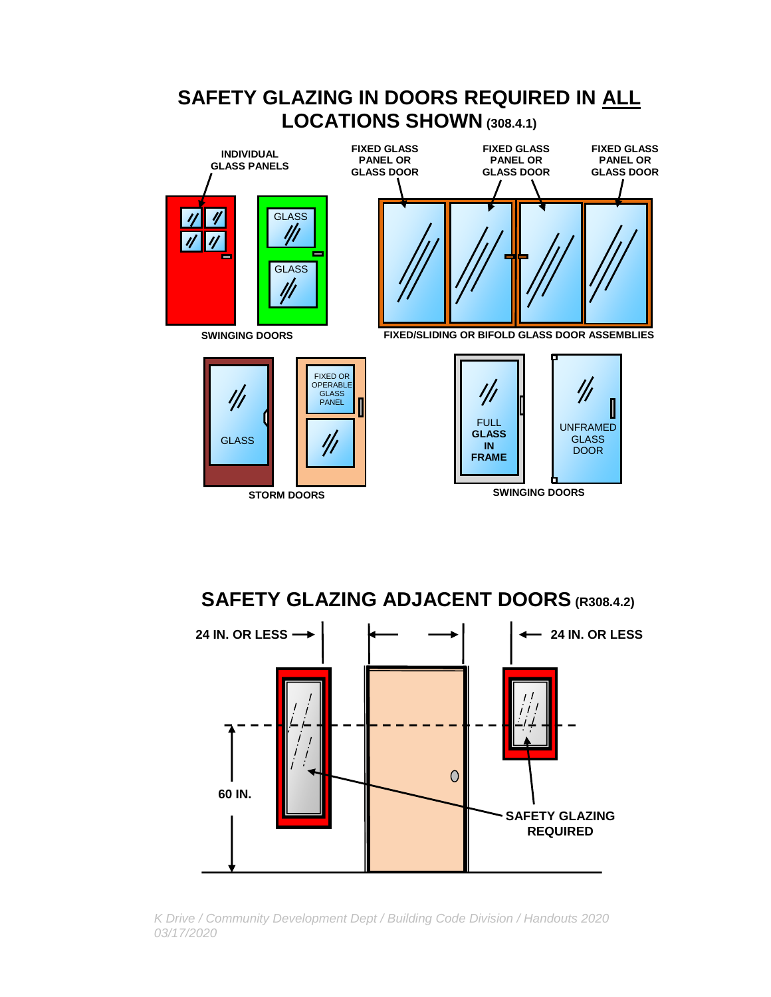

**SAFETY GLAZING ADJACENT DOORS (R308.4.2)**



*K Drive / Community Development Dept / Building Code Division / Handouts 2020 03/17/2020*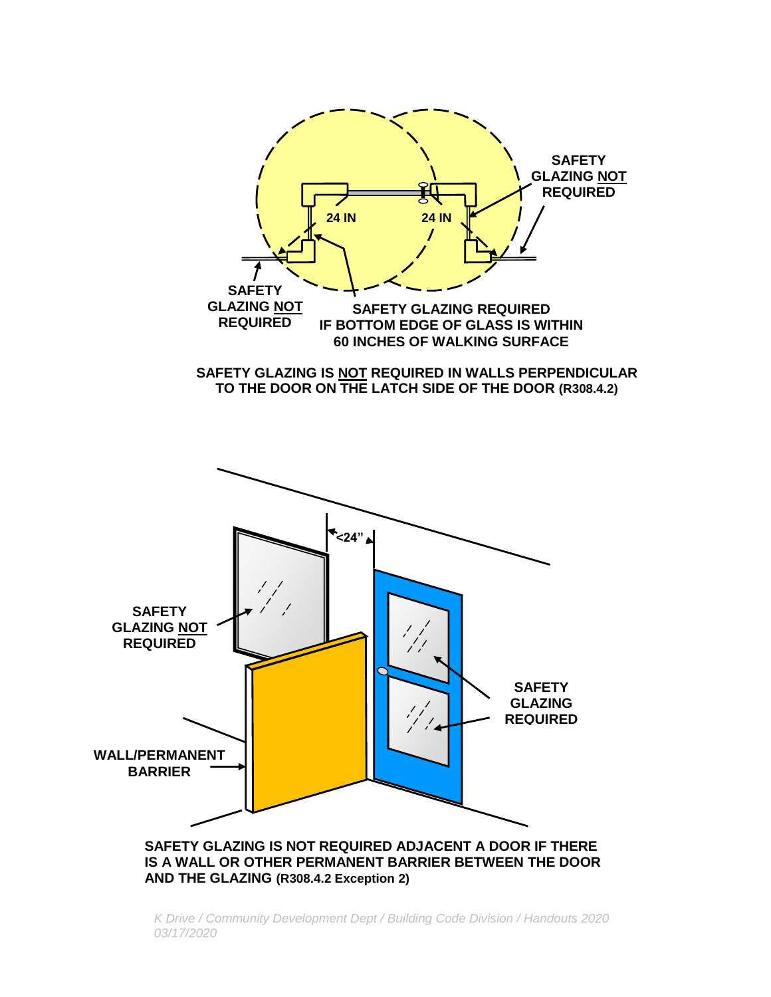

*K Drive / Community Development Dept / Building Code Division / Handouts 2020 03/17/2020*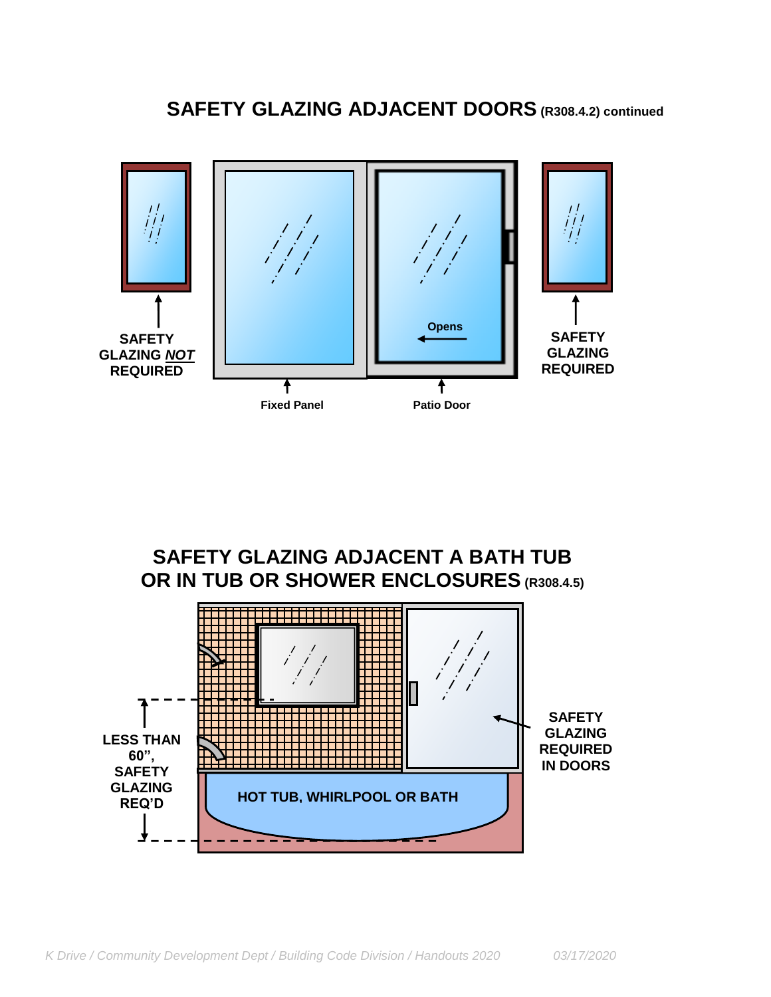



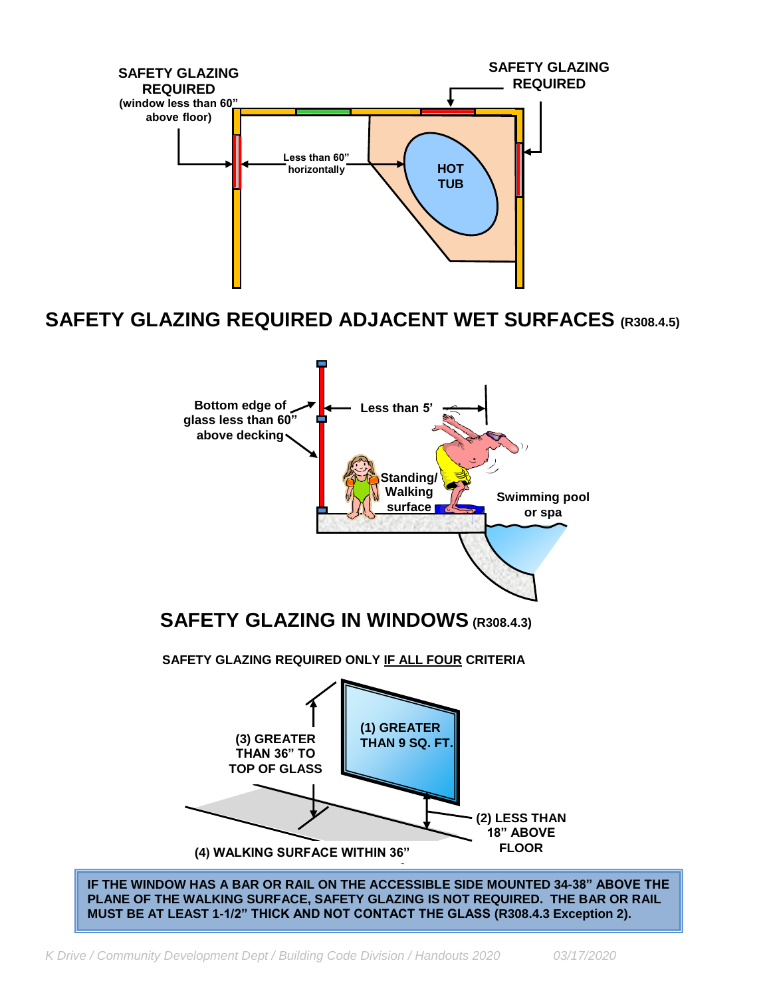

### **SAFETY GLAZING REQUIRED ADJACENT WET SURFACES (R308.4.5)**



**(4) WALKING SURFACE WITHIN 36"**

**IF THE WINDOW HAS A BAR OR RAIL ON THE ACCESSIBLE SIDE MOUNTED 34-38" ABOVE THE PLANE OF THE WALKING SURFACE, SAFETY GLAZING IS NOT REQUIRED. THE BAR OR RAIL MUST BE AT LEAST 1-1/2" THICK AND NOT CONTACT THE GLASS (R308.4.3 Exception 2).**